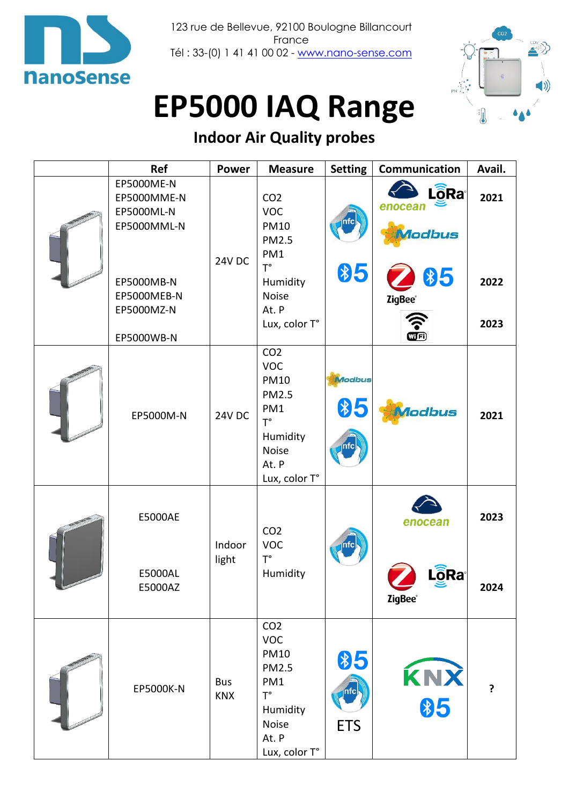

123 rue de Bellevue, 92100 Boulogne Billancourt France Tél : 33-(0) 1 41 41 00 02 - [www.nano-sense.com](http://www.nano-sense.com/)



# **EP5000 IAQ Range**

## **Indoor Air Quality probes**

| <b>Ref</b>                                                                                                      | <b>Power</b>             | <b>Measure</b>                                                                                                                           | <b>Setting</b>             | Communication                                                                                        | Avail.               |
|-----------------------------------------------------------------------------------------------------------------|--------------------------|------------------------------------------------------------------------------------------------------------------------------------------|----------------------------|------------------------------------------------------------------------------------------------------|----------------------|
| EP5000ME-N<br>EP5000MME-N<br>EP5000ML-N<br>EP5000MML-N<br>EP5000MB-N<br>EP5000MEB-N<br>EP5000MZ-N<br>EP5000WB-N | <b>24V DC</b>            | CO <sub>2</sub><br><b>VOC</b><br><b>PM10</b><br><b>PM2.5</b><br>PM1<br>$T^{\circ}$<br>Humidity<br><b>Noise</b><br>At. P<br>Lux, color T° | \$5                        | <b>L</b> o <sub>Ra</sub> <sup>®</sup><br>enocean<br>llodbus<br>\$5<br><b>ZigBee</b> ®<br><b>WFi)</b> | 2021<br>2022<br>2023 |
| EP5000M-N                                                                                                       | <b>24V DC</b>            | CO <sub>2</sub><br><b>VOC</b><br><b>PM10</b><br><b>PM2.5</b><br>PM1<br>$T^{\circ}$<br>Humidity<br><b>Noise</b><br>At. P<br>Lux, color T° | Modbus<br>\$5              | <b><i><u>Aodbus</u></i></b>                                                                          | 2021                 |
| E5000AE<br>E5000AL<br>E5000AZ                                                                                   | Indoor<br>light          | CO <sub>2</sub><br><b>VOC</b><br>$T^{\circ}$<br>Humidity                                                                                 |                            | enocean<br>$L\widehat{\widehat{\mathbf{Q}}}$ Ra $^\circ$<br><b>ZigBee</b> ®                          | 2023<br>2024         |
| EP5000K-N                                                                                                       | <b>Bus</b><br><b>KNX</b> | CO <sub>2</sub><br><b>VOC</b><br><b>PM10</b><br>PM2.5<br>PM1<br>$T^{\circ}$<br>Humidity<br><b>Noise</b><br>At. P<br>Lux, color T°        | \$5<br> nfc <br><b>ETS</b> | KNX<br>$\frac{1}{2}$                                                                                 | ?                    |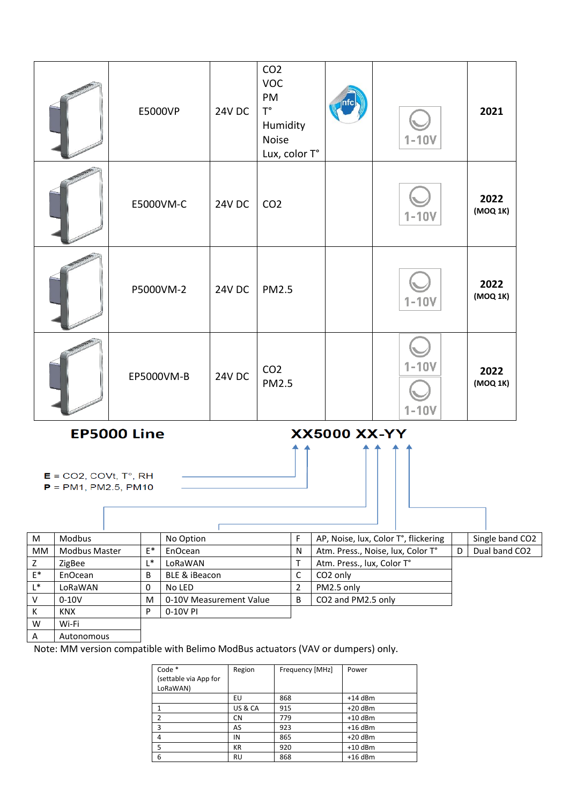|                                                                                                                                 | E5000VP    | <b>24V DC</b> | CO <sub>2</sub><br><b>VOC</b><br>PM<br>$T^{\circ}$<br>Humidity<br>Noise<br>Lux, color T° |  | $1-10V$              | 2021             |  |
|---------------------------------------------------------------------------------------------------------------------------------|------------|---------------|------------------------------------------------------------------------------------------|--|----------------------|------------------|--|
|                                                                                                                                 | E5000VM-C  | <b>24V DC</b> | CO <sub>2</sub>                                                                          |  | $1-10V$              | 2022<br>(MOQ 1K) |  |
|                                                                                                                                 | P5000VM-2  | <b>24V DC</b> | <b>PM2.5</b>                                                                             |  | $1 - 10V$            | 2022<br>(MOQ 1K) |  |
|                                                                                                                                 | EP5000VM-B | <b>24V DC</b> | CO <sub>2</sub><br><b>PM2.5</b>                                                          |  | $1-10V$<br>$1 - 10V$ | 2022<br>(MOQ 1K) |  |
| <b>EP5000 Line</b><br><b>XX5000 XX-YY</b><br>$E = CO2$ , COVt, T°, RH<br>$P = PM1, PM2.5, PM10$                                 |            |               |                                                                                          |  |                      |                  |  |
| $\mathsf{E}$ AD Noice lux Color T <sup>o</sup> flickoring<br>$l$ Cingle band C<br>$N_0$ Ontion<br>$\mathbf{A}$<br><b>Modbus</b> |            |               |                                                                                          |  |                      |                  |  |

| M              | <b>Modbus</b>        |    | No Option               |   | AP, Noise, lux, Color T°, flickering |   | Single band CO2 |
|----------------|----------------------|----|-------------------------|---|--------------------------------------|---|-----------------|
| <b>MM</b>      | <b>Modbus Master</b> | E* | EnOcean                 | N | Atm. Press., Noise, lux, Color T°    | D | Dual band CO2   |
| Z              | ZigBee               | ∗  | LoRaWAN                 |   | Atm. Press., lux, Color T°           |   |                 |
| $E^*$          | EnOcean              | B  | BLE & iBeacon           | C | CO <sub>2</sub> only                 |   |                 |
| $\mathsf{I}^*$ | LoRaWAN              |    | No LED                  |   | PM2.5 only                           |   |                 |
| V              | $0-10V$              | M  | 0-10V Measurement Value | B | CO2 and PM2.5 only                   |   |                 |
| К              | <b>KNX</b>           | D  | 0-10V PI                |   |                                      |   |                 |
| W              | Wi-Fi                |    |                         |   |                                      |   |                 |
| $\mathsf{A}$   | Autonomous           |    |                         |   |                                      |   |                 |

A Autonomous

Note: MM version compatible with Belimo ModBus actuators (VAV or dumpers) only.

| Code *<br>(settable via App for<br>LoRaWAN) | Region    | Frequency [MHz] | Power     |
|---------------------------------------------|-----------|-----------------|-----------|
|                                             | EU        | 868             | $+14$ dBm |
|                                             | US & CA   | 915             | $+20$ dBm |
| 2                                           | <b>CN</b> | 779             | $+10$ dBm |
| 3                                           | AS        | 923             | $+16$ dBm |
| 4                                           | IN        | 865             | $+20$ dBm |
| 5                                           | <b>KR</b> | 920             | $+10$ dBm |
| 6                                           | <b>RU</b> | 868             | $+16$ dBm |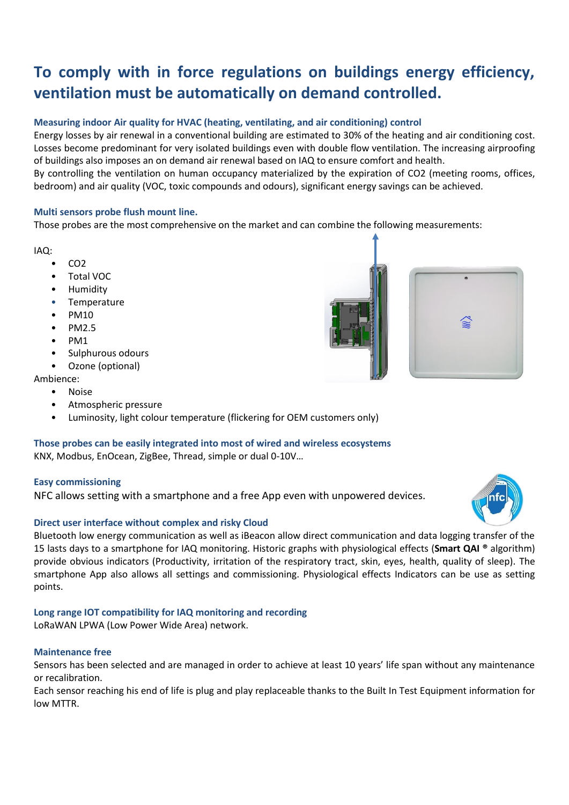### **To comply with in force regulations on buildings energy efficiency, ventilation must be automatically on demand controlled.**

#### **Measuring indoor Air quality for HVAC (heating, ventilating, and air conditioning) control**

Energy losses by air renewal in a conventional building are estimated to 30% of the heating and air conditioning cost. Losses become predominant for very isolated buildings even with double flow ventilation. The increasing airproofing of buildings also imposes an on demand air renewal based on IAQ to ensure comfort and health.

By controlling the ventilation on human occupancy materialized by the expiration of CO2 (meeting rooms, offices, bedroom) and air quality (VOC, toxic compounds and odours), significant energy savings can be achieved.

#### **Multi sensors probe flush mount line.**

Those probes are the most comprehensive on the market and can combine the following measurements:

#### IAQ:

- $CO<sub>2</sub>$
- Total VOC
- Humidity
- Temperature
- PM10
- PM2.5
- PM1
- Sulphurous odours
- Ozone (optional)

Ambience:

- Noise
- Atmospheric pressure
- Luminosity, light colour temperature (flickering for OEM customers only)

#### **Those probes can be easily integrated into most of wired and wireless ecosystems**

KNX, Modbus, EnOcean, ZigBee, Thread, simple or dual 0-10V…

#### **Easy commissioning**

NFC allows setting with a smartphone and a free App even with unpowered devices.

#### **Direct user interface without complex and risky Cloud**

Bluetooth low energy communication as well as iBeacon allow direct communication and data logging transfer of the 15 lasts days to a smartphone for IAQ monitoring. Historic graphs with physiological effects (**Smart QAI ®** algorithm) provide obvious indicators (Productivity, irritation of the respiratory tract, skin, eyes, health, quality of sleep). The smartphone App also allows all settings and commissioning. Physiological effects Indicators can be use as setting points.

#### **Long range IOT compatibility for IAQ monitoring and recording**

LoRaWAN LPWA (Low Power Wide Area) network.

#### **Maintenance free**

Sensors has been selected and are managed in order to achieve at least 10 years' life span without any maintenance or recalibration.

Each sensor reaching his end of life is plug and play replaceable thanks to the Built In Test Equipment information for low MTTR.